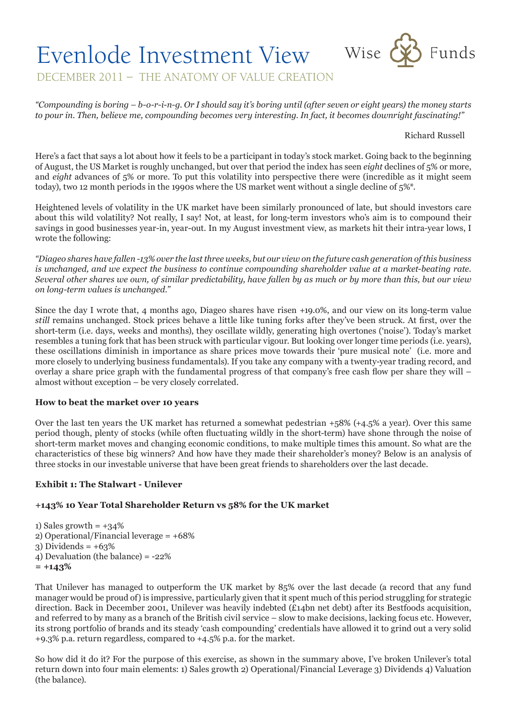# Evenlode Investment View Wise CO Funds



DECEMBER 2011 – THE ANATOMY OF VALUE CREATION

*"Compounding is boring – b-o-r-i-n-g. Or I should say it's boring until (after seven or eight years) the money starts to pour in. Then, believe me, compounding becomes very interesting. In fact, it becomes downright fascinating!"*

Richard Russell

Here's a fact that says a lot about how it feels to be a participant in today's stock market. Going back to the beginning of August, the US Market is roughly unchanged, but over that period the index has seen *eight* declines of 5% or more, and *eight* advances of 5% or more. To put this volatility into perspective there were (incredible as it might seem today), two 12 month periods in the 1990s where the US market went without a single decline of 5%\*.

Heightened levels of volatility in the UK market have been similarly pronounced of late, but should investors care about this wild volatility? Not really, I say! Not, at least, for long-term investors who's aim is to compound their savings in good businesses year-in, year-out. In my August investment view, as markets hit their intra-year lows, I wrote the following:

*"Diageo shares have fallen -13% over the last three weeks, but our view on the future cash generation of this business is unchanged, and we expect the business to continue compounding shareholder value at a market-beating rate. Several other shares we own, of similar predictability, have fallen by as much or by more than this, but our view on long-term values is unchanged."*

Since the day I wrote that, 4 months ago, Diageo shares have risen +19.0%, and our view on its long-term value *still* remains unchanged. Stock prices behave a little like tuning forks after they've been struck. At first, over the short-term (i.e. days, weeks and months), they oscillate wildly, generating high overtones ('noise'). Today's market resembles a tuning fork that has been struck with particular vigour. But looking over longer time periods (i.e. years), these oscillations diminish in importance as share prices move towards their 'pure musical note' (i.e. more and more closely to underlying business fundamentals). If you take any company with a twenty-year trading record, and overlay a share price graph with the fundamental progress of that company's free cash flow per share they will – almost without exception – be very closely correlated.

# **How to beat the market over 10 years**

Over the last ten years the UK market has returned a somewhat pedestrian +58% (+4.5% a year). Over this same period though, plenty of stocks (while often fluctuating wildly in the short-term) have shone through the noise of short-term market moves and changing economic conditions, to make multiple times this amount. So what are the characteristics of these big winners? And how have they made their shareholder's money? Below is an analysis of three stocks in our investable universe that have been great friends to shareholders over the last decade.

# **Exhibit 1: The Stalwart - Unilever**

# **+143% 10 Year Total Shareholder Return vs 58% for the UK market**

1) Sales growth  $= +34\%$ 2) Operational/Financial leverage = +68%  $3)$  Dividends =  $+63\%$ 4) Devaluation (the balance) = -22% **= +143%**

That Unilever has managed to outperform the UK market by 85% over the last decade (a record that any fund manager would be proud of) is impressive, particularly given that it spent much of this period struggling for strategic direction. Back in December 2001, Unilever was heavily indebted (£14bn net debt) after its Bestfoods acquisition, and referred to by many as a branch of the British civil service – slow to make decisions, lacking focus etc. However, its strong portfolio of brands and its steady 'cash compounding' credentials have allowed it to grind out a very solid +9.3% p.a. return regardless, compared to +4.5% p.a. for the market.

So how did it do it? For the purpose of this exercise, as shown in the summary above, I've broken Unilever's total return down into four main elements: 1) Sales growth 2) Operational/Financial Leverage 3) Dividends 4) Valuation (the balance).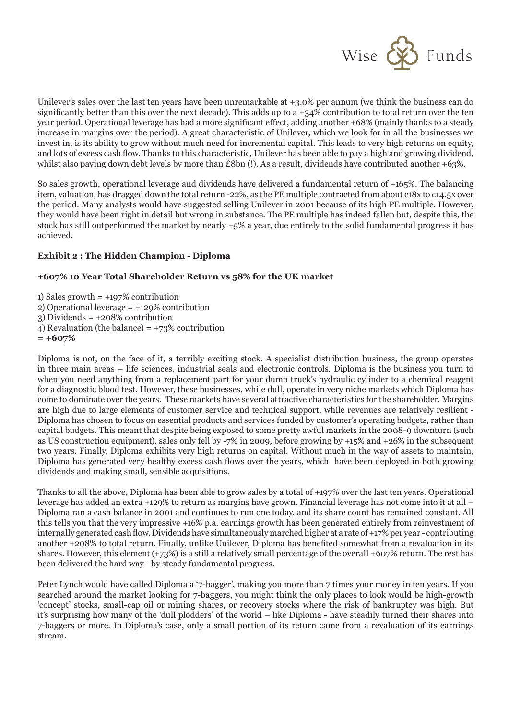

Unilever's sales over the last ten years have been unremarkable at +3.0% per annum (we think the business can do significantly better than this over the next decade). This adds up to a  $+34\%$  contribution to total return over the ten year period. Operational leverage has had a more significant effect, adding another +68% (mainly thanks to a steady increase in margins over the period). A great characteristic of Unilever, which we look for in all the businesses we invest in, is its ability to grow without much need for incremental capital. This leads to very high returns on equity, and lots of excess cash flow. Thanks to this characteristic, Unilever has been able to pay a high and growing dividend, whilst also paying down debt levels by more than £8bn (!). As a result, dividends have contributed another +63%.

So sales growth, operational leverage and dividends have delivered a fundamental return of +165%. The balancing item, valuation, has dragged down the total return -22%, as the PE multiple contracted from about c18x to c14.5x over the period. Many analysts would have suggested selling Unilever in 2001 because of its high PE multiple. However, they would have been right in detail but wrong in substance. The PE multiple has indeed fallen but, despite this, the stock has still outperformed the market by nearly +5% a year, due entirely to the solid fundamental progress it has achieved.

# **Exhibit 2 : The Hidden Champion - Diploma**

# **+607% 10 Year Total Shareholder Return vs 58% for the UK market**

1) Sales growth  $= +197\%$  contribution 2) Operational leverage = +129% contribution  $3)$  Dividends =  $+208%$  contribution 4) Revaluation (the balance) = +73% contribution

**= +607%**

Diploma is not, on the face of it, a terribly exciting stock. A specialist distribution business, the group operates in three main areas – life sciences, industrial seals and electronic controls. Diploma is the business you turn to when you need anything from a replacement part for your dump truck's hydraulic cylinder to a chemical reagent for a diagnostic blood test. However, these businesses, while dull, operate in very niche markets which Diploma has come to dominate over the years. These markets have several attractive characteristics for the shareholder. Margins are high due to large elements of customer service and technical support, while revenues are relatively resilient - Diploma has chosen to focus on essential products and services funded by customer's operating budgets, rather than capital budgets. This meant that despite being exposed to some pretty awful markets in the 2008-9 downturn (such as US construction equipment), sales only fell by -7% in 2009, before growing by +15% and +26% in the subsequent two years. Finally, Diploma exhibits very high returns on capital. Without much in the way of assets to maintain, Diploma has generated very healthy excess cash flows over the years, which have been deployed in both growing dividends and making small, sensible acquisitions.

Thanks to all the above, Diploma has been able to grow sales by a total of +197% over the last ten years. Operational leverage has added an extra +129% to return as margins have grown. Financial leverage has not come into it at all – Diploma ran a cash balance in 2001 and continues to run one today, and its share count has remained constant. All this tells you that the very impressive +16% p.a. earnings growth has been generated entirely from reinvestment of internally generated cash flow. Dividends have simultaneously marched higher at a rate of +17% per year - contributing another +208% to total return. Finally, unlike Unilever, Diploma has benefited somewhat from a revaluation in its shares. However, this element (+73%) is a still a relatively small percentage of the overall +607% return. The rest has been delivered the hard way - by steady fundamental progress.

Peter Lynch would have called Diploma a '7-bagger', making you more than 7 times your money in ten years. If you searched around the market looking for 7-baggers, you might think the only places to look would be high-growth 'concept' stocks, small-cap oil or mining shares, or recovery stocks where the risk of bankruptcy was high. But it's surprising how many of the 'dull plodders' of the world – like Diploma - have steadily turned their shares into 7-baggers or more. In Diploma's case, only a small portion of its return came from a revaluation of its earnings stream.